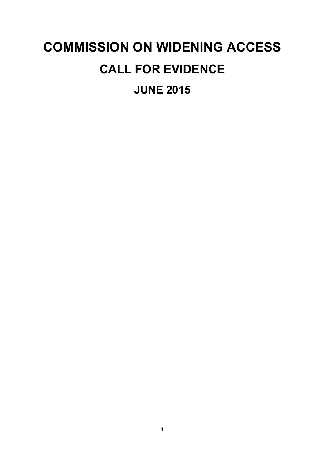# **COMMISSION ON WIDENING ACCESS CALL FOR EVIDENCE JUNE 2015**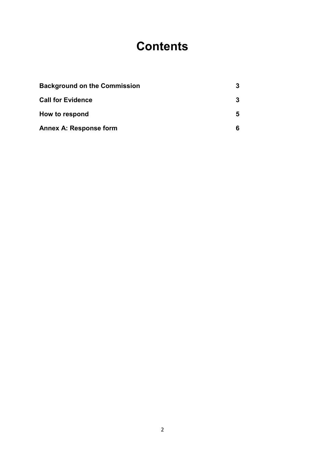# **Contents**

| <b>Background on the Commission</b> |  |
|-------------------------------------|--|
| <b>Call for Evidence</b>            |  |
| How to respond                      |  |
| <b>Annex A: Response form</b>       |  |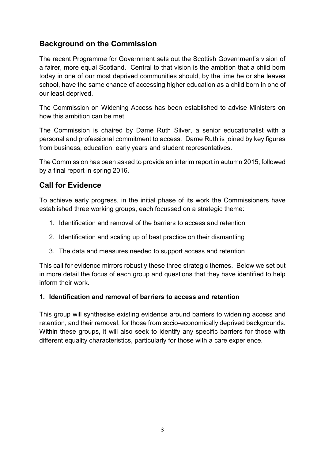# **Background on the Commission**

The recent Programme for Government sets out the Scottish Government's vision of a fairer, more equal Scotland. Central to that vision is the ambition that a child born today in one of our most deprived communities should, by the time he or she leaves school, have the same chance of accessing higher education as a child born in one of our least deprived.

The Commission on Widening Access has been established to advise Ministers on how this ambition can be met.

The Commission is chaired by Dame Ruth Silver, a senior educationalist with a personal and professional commitment to access. Dame Ruth is joined by key figures from business, education, early years and student representatives.

The Commission has been asked to provide an interim report in autumn 2015, followed by a final report in spring 2016.

# **Call for Evidence**

To achieve early progress, in the initial phase of its work the Commissioners have established three working groups, each focussed on a strategic theme:

- 1. Identification and removal of the barriers to access and retention
- 2. Identification and scaling up of best practice on their dismantling
- 3. The data and measures needed to support access and retention

This call for evidence mirrors robustly these three strategic themes. Below we set out in more detail the focus of each group and questions that they have identified to help inform their work.

#### **1. Identification and removal of barriers to access and retention**

This group will synthesise existing evidence around barriers to widening access and retention, and their removal, for those from socio-economically deprived backgrounds. Within these groups, it will also seek to identify any specific barriers for those with different equality characteristics, particularly for those with a care experience.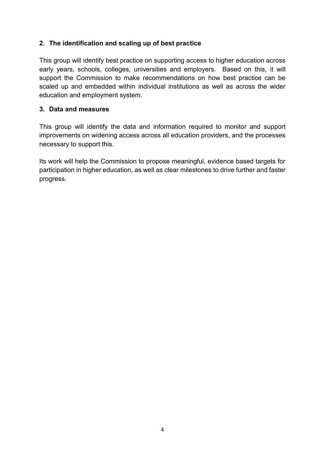#### **2. The identification and scaling up of best practice**

This group will identify best practice on supporting access to higher education across early years, schools, colleges, universities and employers. Based on this, it will support the Commission to make recommendations on how best practice can be scaled up and embedded within individual institutions as well as across the wider education and employment system.

#### **3. Data and measures**

This group will identify the data and information required to monitor and support improvements on widening access across all education providers, and the processes necessary to support this.

Its work will help the Commission to propose meaningful, evidence based targets for participation in higher education, as well as clear milestones to drive further and faster progress.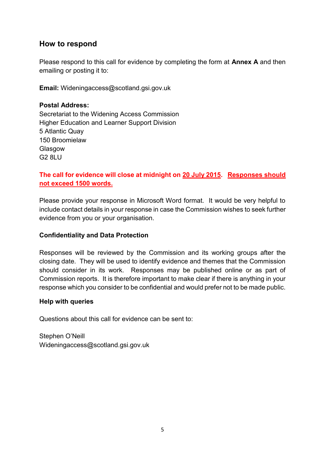#### **How to respond**

Please respond to this call for evidence by completing the form at **Annex A** and then emailing or posting it to:

**Email:** Wideningaccess@scotland.gsi.gov.uk

**Postal Address:**  Secretariat to the Widening Access Commission Higher Education and Learner Support Division 5 Atlantic Quay 150 Broomielaw Glasgow G2 8LU

#### **The call for evidence will close at midnight on 20 July 2015. Responses should not exceed 1500 words.**

Please provide your response in Microsoft Word format. It would be very helpful to include contact details in your response in case the Commission wishes to seek further evidence from you or your organisation.

#### **Confidentiality and Data Protection**

Responses will be reviewed by the Commission and its working groups after the closing date. They will be used to identify evidence and themes that the Commission should consider in its work. Responses may be published online or as part of Commission reports. It is therefore important to make clear if there is anything in your response which you consider to be confidential and would prefer not to be made public.

#### **Help with queries**

Questions about this call for evidence can be sent to:

Stephen O'Neill Wideningaccess@scotland.gsi.gov.uk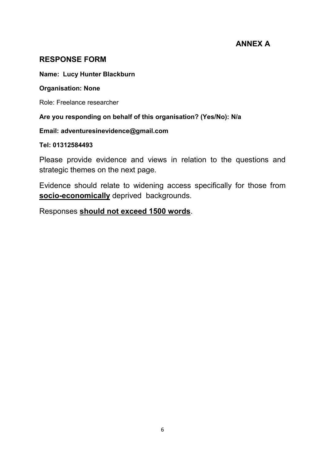# **ANNEX A**

# **RESPONSE FORM**

#### **Name: Lucy Hunter Blackburn**

#### **Organisation: None**

Role: Freelance researcher

#### **Are you responding on behalf of this organisation? (Yes/No): N/a**

#### **Email: adventuresinevidence@gmail.com**

#### **Tel: 01312584493**

Please provide evidence and views in relation to the questions and strategic themes on the next page.

Evidence should relate to widening access specifically for those from **socio-economically** deprived backgrounds.

Responses **should not exceed 1500 words**.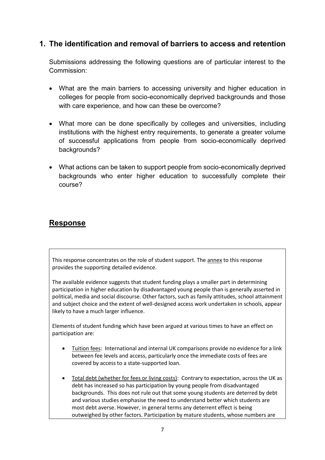# **1. The identification and removal of barriers to access and retention**

Submissions addressing the following questions are of particular interest to the Commission:

- What are the main barriers to accessing university and higher education in colleges for people from socio-economically deprived backgrounds and those with care experience, and how can these be overcome?
- What more can be done specifically by colleges and universities, including institutions with the highest entry requirements, to generate a greater volume of successful applications from people from socio-economically deprived backgrounds?
- What actions can be taken to support people from socio-economically deprived backgrounds who enter higher education to successfully complete their course?

# **Response**

This response concentrates on the role of student support. The annex to this response provides the supporting detailed evidence.

The available evidence suggests that student funding plays a smaller part in determining participation in higher education by disadvantaged young people than is generally asserted in political, media and social discourse. Other factors, such as family attitudes, school attainment and subject choice and the extent of well-designed access work undertaken in schools, appear likely to have a much larger influence.

Elements of student funding which have been argued at various times to have an effect on participation are:

- Tuition fees: International and internal UK comparisons provide no evidence for a link between fee levels and access, particularly once the immediate costs of fees are covered by access to a state-supported loan.
- Total debt (whether for fees or living costs): Contrary to expectation, across the UK as debt has increased so has participation by young people from disadvantaged backgrounds. This does not rule out that some young students are deterred by debt and various studies emphasise the need to understand better which students are most debt averse. However, in general terms any deterrent effect is being outweighed by other factors. Participation by mature students, whose numbers are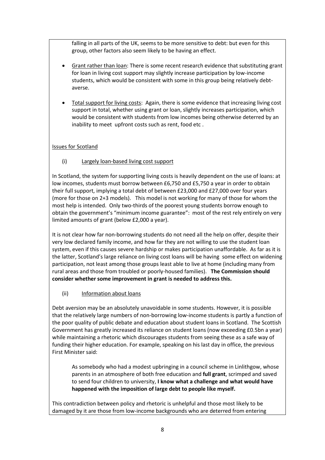falling in all parts of the UK, seems to be more sensitive to debt: but even for this group, other factors also seem likely to be having an effect.

- Grant rather than loan: There is some recent research evidence that substituting grant for loan in living cost support may slightly increase participation by low-income students, which would be consistent with some in this group being relatively debtaverse.
- Total support for living costs: Again, there is some evidence that increasing living cost support in total, whether using grant or loan, slightly increases participation, which would be consistent with students from low incomes being otherwise deterred by an inability to meet upfront costs such as rent, food etc .

#### Issues for Scotland

(i) Largely loan-based living cost support

In Scotland, the system for supporting living costs is heavily dependent on the use of loans: at low incomes, students must borrow between £6,750 and £5,750 a year in order to obtain their full support, implying a total debt of between £23,000 and £27,000 over four years (more for those on 2+3 models). This model is not working for many of those for whom the most help is intended. Only two-thirds of the poorest young students borrow enough to obtain the government's "minimum income guarantee": most of the rest rely entirely on very limited amounts of grant (below £2,000 a year).

It is not clear how far non-borrowing students do not need all the help on offer, despite their very low declared family income, and how far they are not willing to use the student loan system, even if this causes severe hardship or makes participation unaffordable. As far as it is the latter, Scotland's large reliance on living cost loans will be having some effect on widening participation, not least among those groups least able to live at home (including many from rural areas and those from troubled or poorly-housed families). **The Commission should consider whether some improvement in grant is needed to address this.**

#### (ii) Information about loans

Debt aversion may be an absolutely unavoidable in some students. However, it is possible that the relatively large numbers of non-borrowing low-income students is partly a function of the poor quality of public debate and education about student loans in Scotland. The Scottish Government has greatly increased its reliance on student loans (now exceeding £0.5bn a year) while maintaining a rhetoric which discourages students from seeing these as a safe way of funding their higher education. For example, speaking on his last day in office, the previous First Minister said:

As somebody who had a modest upbringing in a council scheme in Linlithgow, whose parents in an atmosphere of both free education and **full grant**, scrimped and saved to send four children to university, **I know what a challenge and what would have happened with the imposition of large debt to people like myself.**

This contradiction between policy and rhetoric is unhelpful and those most likely to be damaged by it are those from low-income backgrounds who are deterred from entering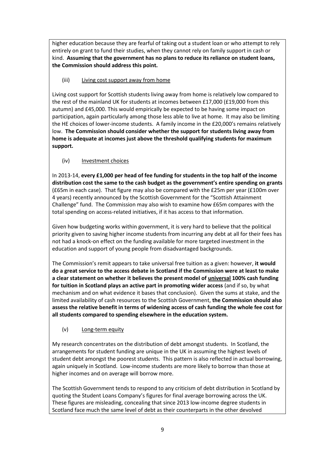higher education because they are fearful of taking out a student loan or who attempt to rely entirely on grant to fund their studies, when they cannot rely on family support in cash or kind. **Assuming that the government has no plans to reduce its reliance on student loans, the Commission should address this point.**

(iii) Living cost support away from home

Living cost support for Scottish students living away from home is relatively low compared to the rest of the mainland UK for students at incomes between £17,000 (£19,000 from this autumn) and £45,000. This would empirically be expected to be having some impact on participation, again particularly among those less able to live at home. It may also be limiting the HE choices of lower-income students. A family income in the £20,000's remains relatively low. **The Commission should consider whether the support for students living away from home is adequate at incomes just above the threshold qualifying students for maximum support.**

(iv) Investment choices

In 2013-14, **every £1,000 per head of fee funding for students in the top half of the income distribution cost the same to the cash budget as the government's entire spending on grants**  (£65m in each case). That figure may also be compared with the £25m per year (£100m over 4 years) recently announced by the Scottish Government for the "Scottish Attainment Challenge" fund. The Commission may also wish to examine how £65m compares with the total spending on access-related initiatives, if it has access to that information.

Given how budgeting works within government, it is very hard to believe that the political priority given to saving higher income students from incurring any debt at all for their fees has not had a knock-on effect on the funding available for more targeted investment in the education and support of young people from disadvantaged backgrounds.

The Commission's remit appears to take universal free tuition as a given: however, **it would do a great service to the access debate in Scotland if the Commission were at least to make a clear statement on whether it believes the present model of universal 100% cash funding for tuition in Scotland plays an active part in promoting wider access** (and if so, by what mechanism and on what evidence it bases that conclusion). Given the sums at stake, and the limited availability of cash resources to the Scottish Government, **the Commission should also assess the relative benefit in terms of widening access of cash funding the whole fee cost for all students compared to spending elsewhere in the education system.** 

(v) Long-term equity

My research concentrates on the distribution of debt amongst students. In Scotland, the arrangements for student funding are unique in the UK in assuming the highest levels of student debt amongst the poorest students. This pattern is also reflected in actual borrowing, again uniquely in Scotland. Low-income students are more likely to borrow than those at higher incomes and on average will borrow more.

The Scottish Government tends to respond to any criticism of debt distribution in Scotland by quoting the Student Loans Company's figures for final average borrowing across the UK. These figures are misleading, concealing that since 2013 low-income degree students in Scotland face much the same level of debt as their counterparts in the other devolved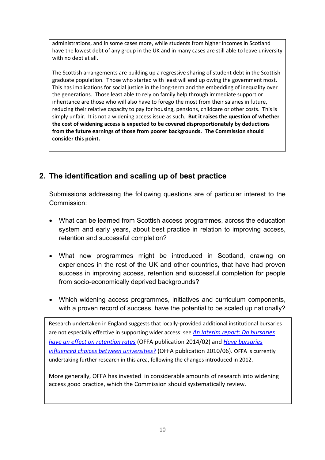administrations, and in some cases more, while students from higher incomes in Scotland have the lowest debt of any group in the UK and in many cases are still able to leave university with no debt at all.

The Scottish arrangements are building up a regressive sharing of student debt in the Scottish graduate population. Those who started with least will end up owing the government most. This has implications for social justice in the long-term and the embedding of inequality over the generations. Those least able to rely on family help through immediate support or inheritance are those who will also have to forego the most from their salaries in future, reducing their relative capacity to pay for housing, pensions, childcare or other costs. This is simply unfair. It is not a widening access issue as such. **But it raises the question of whether the cost of widening access is expected to be covered disproportionately by deductions from the future earnings of those from poorer backgrounds. The Commission should consider this point.**

# **2. The identification and scaling up of best practice**

Submissions addressing the following questions are of particular interest to the Commission:

- What can be learned from Scottish access programmes, across the education system and early years, about best practice in relation to improving access, retention and successful completion?
- What new programmes might be introduced in Scotland, drawing on experiences in the rest of the UK and other countries, that have had proven success in improving access, retention and successful completion for people from socio-economically deprived backgrounds?
- Which widening access programmes, initiatives and curriculum components, with a proven record of success, have the potential to be scaled up nationally?

Research undertaken in England suggests that locally-provided additional institutional bursaries are not especially effective in supporting wider access: see *[An interim report: Do bursaries](https://www.offa.org.uk/publications/#201402)  [have an effect on retention rates](https://www.offa.org.uk/publications/#201402)* (OFFA publication 2014/02) and *[Have bursaries](https://www.offa.org.uk/publications/#201006)  [influenced choices between universities?](https://www.offa.org.uk/publications/#201006)* (OFFA publication 2010/06). OFFA is currently undertaking further research in this area, following the changes introduced in 2012.

More generally, OFFA has invested in considerable amounts of research into widening access good practice, which the Commission should systematically review.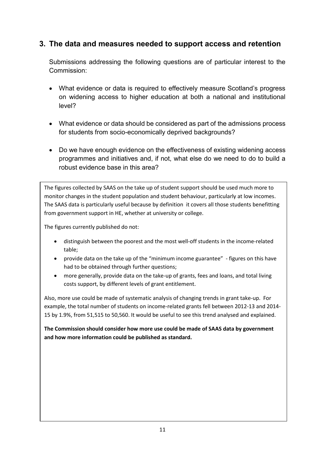# **3. The data and measures needed to support access and retention**

Submissions addressing the following questions are of particular interest to the Commission:

- What evidence or data is required to effectively measure Scotland's progress on widening access to higher education at both a national and institutional level?
- What evidence or data should be considered as part of the admissions process for students from socio-economically deprived backgrounds?
- Do we have enough evidence on the effectiveness of existing widening access programmes and initiatives and, if not, what else do we need to do to build a robust evidence base in this area?

The figures collected by SAAS on the take up of student support should be used much more to monitor changes in the student population and student behaviour, particularly at low incomes. The SAAS data is particularly useful because by definition it covers all those students benefitting from government support in HE, whether at university or college.

The figures currently published do not:

- distinguish between the poorest and the most well-off students in the income-related table;
- provide data on the take up of the "minimum income guarantee" figures on this have had to be obtained through further questions:
- more generally, provide data on the take-up of grants, fees and loans, and total living costs support, by different levels of grant entitlement.

Also, more use could be made of systematic analysis of changing trends in grant take-up. For example, the total number of students on income-related grants fell between 2012-13 and 2014- 15 by 1.9%, from 51,515 to 50,560. It would be useful to see this trend analysed and explained.

**The Commission should consider how more use could be made of SAAS data by government and how more information could be published as standard.**